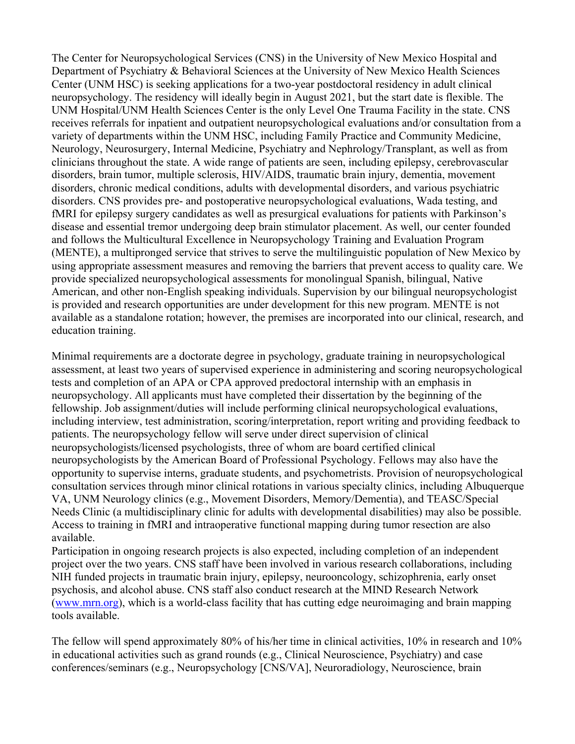The Center for Neuropsychological Services (CNS) in the University of New Mexico Hospital and Department of Psychiatry & Behavioral Sciences at the University of New Mexico Health Sciences Center (UNM HSC) is seeking applications for a two-year postdoctoral residency in adult clinical neuropsychology. The residency will ideally begin in August 2021, but the start date is flexible. The UNM Hospital/UNM Health Sciences Center is the only Level One Trauma Facility in the state. CNS receives referrals for inpatient and outpatient neuropsychological evaluations and/or consultation from a variety of departments within the UNM HSC, including Family Practice and Community Medicine, Neurology, Neurosurgery, Internal Medicine, Psychiatry and Nephrology/Transplant, as well as from clinicians throughout the state. A wide range of patients are seen, including epilepsy, cerebrovascular disorders, brain tumor, multiple sclerosis, HIV/AIDS, traumatic brain injury, dementia, movement disorders, chronic medical conditions, adults with developmental disorders, and various psychiatric disorders. CNS provides pre- and postoperative neuropsychological evaluations, Wada testing, and fMRI for epilepsy surgery candidates as well as presurgical evaluations for patients with Parkinson's disease and essential tremor undergoing deep brain stimulator placement. As well, our center founded and follows the Multicultural Excellence in Neuropsychology Training and Evaluation Program (MENTE), a multipronged service that strives to serve the multilinguistic population of New Mexico by using appropriate assessment measures and removing the barriers that prevent access to quality care. We provide specialized neuropsychological assessments for monolingual Spanish, bilingual, Native American, and other non-English speaking individuals. Supervision by our bilingual neuropsychologist is provided and research opportunities are under development for this new program. MENTE is not available as a standalone rotation; however, the premises are incorporated into our clinical, research, and education training.

Minimal requirements are a doctorate degree in psychology, graduate training in neuropsychological assessment, at least two years of supervised experience in administering and scoring neuropsychological tests and completion of an APA or CPA approved predoctoral internship with an emphasis in neuropsychology. All applicants must have completed their dissertation by the beginning of the fellowship. Job assignment/duties will include performing clinical neuropsychological evaluations, including interview, test administration, scoring/interpretation, report writing and providing feedback to patients. The neuropsychology fellow will serve under direct supervision of clinical neuropsychologists/licensed psychologists, three of whom are board certified clinical neuropsychologists by the American Board of Professional Psychology. Fellows may also have the opportunity to supervise interns, graduate students, and psychometrists. Provision of neuropsychological consultation services through minor clinical rotations in various specialty clinics, including Albuquerque VA, UNM Neurology clinics (e.g., Movement Disorders, Memory/Dementia), and TEASC/Special Needs Clinic (a multidisciplinary clinic for adults with developmental disabilities) may also be possible. Access to training in fMRI and intraoperative functional mapping during tumor resection are also available.

Participation in ongoing research projects is also expected, including completion of an independent project over the two years. CNS staff have been involved in various research collaborations, including NIH funded projects in traumatic brain injury, epilepsy, neurooncology, schizophrenia, early onset psychosis, and alcohol abuse. CNS staff also conduct research at the MIND Research Network (www.mrn.org), which is a world-class facility that has cutting edge neuroimaging and brain mapping tools available.

The fellow will spend approximately 80% of his/her time in clinical activities, 10% in research and 10% in educational activities such as grand rounds (e.g., Clinical Neuroscience, Psychiatry) and case conferences/seminars (e.g., Neuropsychology [CNS/VA], Neuroradiology, Neuroscience, brain